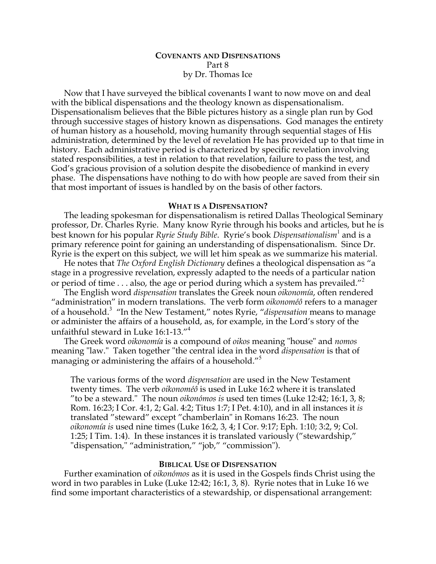## **COVENANTS AND DISPENSATIONS** Part 8 by Dr. Thomas Ice

Now that I have surveyed the biblical covenants I want to now move on and deal with the biblical dispensations and the theology known as dispensationalism. Dispensationalism believes that the Bible pictures history as a single plan run by God through successive stages of history known as dispensations. God manages the entirety of human history as a household, moving humanity through sequential stages of His administration, determined by the level of revelation He has provided up to that time in history. Each administrative period is characterized by specific revelation involving stated responsibilities, a test in relation to that revelation, failure to pass the test, and God's gracious provision of a solution despite the disobedience of mankind in every phase. The dispensations have nothing to do with how people are saved from their sin that most important of issues is handled by on the basis of other factors.

#### **WHAT IS A DISPENSATION?**

The leading spokesman for dispensationalism is retired Dallas Theological Seminary professor, Dr. Charles Ryrie. Many know Ryrie through his books and articles, but he is best known for his popular *Ryrie Study Bible*. Ryrie's book *Dispensationalism*<sup>1</sup> and is a primary reference point for gaining an understanding of dispensationalism. Since Dr. Ryrie is the expert on this subject, we will let him speak as we summarize his material.

He notes that *The Oxford English Dictionary* defines a theological dispensation as "a stage in a progressive revelation, expressly adapted to the needs of a particular nation or period of time  $\dots$  also, the age or period during which a system has prevailed."

The English word *dispensation* translates the Greek noun *oikonomía*, often rendered "administration" in modern translations. The verb form *oikonoméô* refers to a manager of a household.<sup>3</sup> "In the New Testament," notes Ryrie, "*dispensation* means to manage or administer the affairs of a household, as, for example, in the Lord's story of the unfaithful steward in Luke 16:1-13."<sup>4</sup>

The Greek word *oikonomía* is a compound of *oikos* meaning "house" and *nomos* meaning "law." Taken together "the central idea in the word *dispensation* is that of managing or administering the affairs of a household."<sup>5</sup>

The various forms of the word *dispensation* are used in the New Testament twenty times. The verb *oikonoméô* is used in Luke 16:2 where it is translated "to be a steward." The noun *oikonómos is* used ten times (Luke 12:42; 16:1, 3, 8; Rom. 16:23; I Cor. 4:1, 2; Gal. 4:2; Titus 1:7; I Pet. 4:10), and in all instances it *is* translated "steward" except "chamberlain" in Romans 16:23. The noun *oikonomía is* used nine times (Luke 16:2, 3, 4; I Cor. 9:17; Eph. 1:10; 3:2, 9; Col. 1:25; I Tim. 1:4). In these instances it is translated variously ("stewardship," "dispensation," "administration," "job," "commission").

#### **BIBLICAL USE OF DISPENSATION**

Further examination of *oikonómos* as it is used in the Gospels finds Christ using the word in two parables in Luke (Luke 12:42; 16:1, 3, 8). Ryrie notes that in Luke 16 we find some important characteristics of a stewardship, or dispensational arrangement: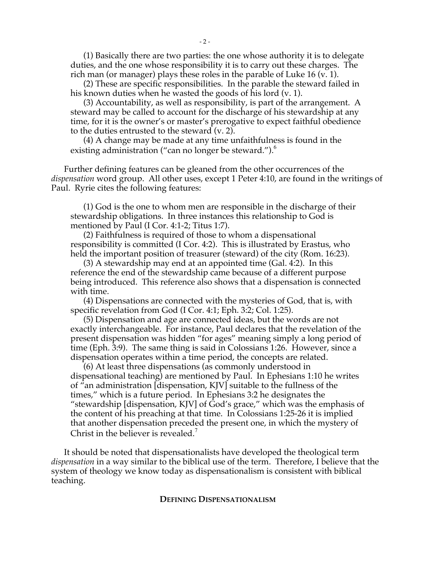(1) Basically there are two parties: the one whose authority it is to delegate duties, and the one whose responsibility it is to carry out these charges. The rich man (or manager) plays these roles in the parable of Luke 16 (v. 1).

(2) These are specific responsibilities. In the parable the steward failed in his known duties when he wasted the goods of his lord (v. 1).

(3) Accountability, as well as responsibility, is part of the arrangement. A steward may be called to account for the discharge of his stewardship at any time, for it is the owner's or master's prerogative to expect faithful obedience to the duties entrusted to the steward (v. 2).

(4) A change may be made at any time unfaithfulness is found in the existing administration ("can no longer be steward.").<sup>6</sup>

Further defining features can be gleaned from the other occurrences of the *dispensation* word group. All other uses, except 1 Peter 4:10, are found in the writings of Paul. Ryrie cites the following features:

(1) God is the one to whom men are responsible in the discharge of their stewardship obligations. In three instances this relationship to God is mentioned by Paul (I Cor. 4:1-2; Titus 1:7).

(2) Faithfulness is required of those to whom a dispensational responsibility is committed (I Cor. 4:2). This is illustrated by Erastus, who held the important position of treasurer (steward) of the city (Rom. 16:23).

(3) A stewardship may end at an appointed time (Gal. 4:2). In this reference the end of the stewardship came because of a different purpose being introduced. This reference also shows that a dispensation is connected with time.

(4) Dispensations are connected with the mysteries of God, that is, with specific revelation from God (I Cor. 4:1; Eph. 3:2; Col. 1:25).

(5) Dispensation and age are connected ideas, but the words are not exactly interchangeable. For instance, Paul declares that the revelation of the present dispensation was hidden "for ages" meaning simply a long period of time (Eph. 3:9). The same thing is said in Colossians 1:26. However, since a dispensation operates within a time period, the concepts are related.

(6) At least three dispensations (as commonly understood in dispensational teaching) are mentioned by Paul. In Ephesians 1:10 he writes of "an administration [dispensation, KJV] suitable to the fullness of the times," which is a future period. In Ephesians 3:2 he designates the "stewardship [dispensation, KJV] of God's grace," which was the emphasis of the content of his preaching at that time. In Colossians 1:25-26 it is implied that another dispensation preceded the present one, in which the mystery of Christ in the believer is revealed.<sup>7</sup>

It should be noted that dispensationalists have developed the theological term *dispensation* in a way similar to the biblical use of the term. Therefore, I believe that the system of theology we know today as dispensationalism is consistent with biblical teaching.

#### **DEFINING DISPENSATIONALISM**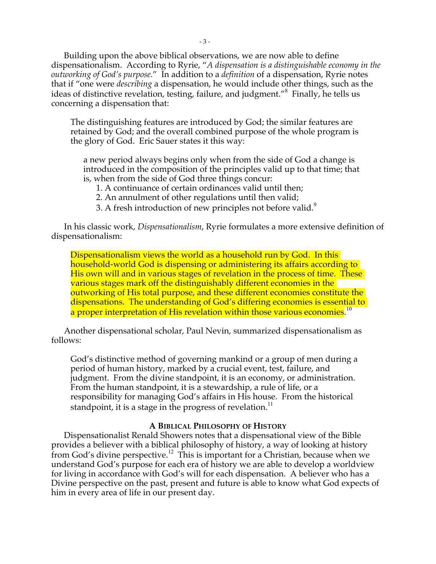Building upon the above biblical observations, we are now able to define dispensationalism. According to Ryrie, "*A dispensation is a distinguishable economy in the outworking of God's purpose.*" In addition to a *definition* of a dispensation, Ryrie notes that if "one were *describing* a dispensation, he would include other things, such as the ideas of distinctive revelation, testing, failure, and judgment."<sup>8</sup> Finally, he tells us concerning a dispensation that:

The distinguishing features are introduced by God; the similar features are retained by God; and the overall combined purpose of the whole program is the glory of God. Eric Sauer states it this way:

a new period always begins only when from the side of God a change is introduced in the composition of the principles valid up to that time; that is, when from the side of God three things concur:

1. A continuance of certain ordinances valid until then;

2. An annulment of other regulations until then valid;

3. A fresh introduction of new principles not before valid.<sup>9</sup>

In his classic work, *Dispensationalism*, Ryrie formulates a more extensive definition of dispensationalism:

Dispensationalism views the world as a household run by God. In this household-world God is dispensing or administering its affairs according to His own will and in various stages of revelation in the process of time. These various stages mark off the distinguishably different economies in the outworking of His total purpose, and these different economies constitute the dispensations. The understanding of God's differing economies is essential to a proper interpretation of His revelation within those various economies.<sup>10</sup>

Another dispensational scholar, Paul Nevin, summarized dispensationalism as follows:

God's distinctive method of governing mankind or a group of men during a period of human history, marked by a crucial event, test, failure, and judgment. From the divine standpoint, it is an economy, or administration. From the human standpoint, it is a stewardship, a rule of life, or a responsibility for managing God's affairs in His house. From the historical standpoint, it is a stage in the progress of revelation. $11$ 

## **A BIBLICAL PHILOSOPHY OF HISTORY**

Dispensationalist Renald Showers notes that a dispensational view of the Bible provides a believer with a biblical philosophy of history, a way of looking at history from God's divine perspective.<sup>12</sup> This is important for a Christian, because when we understand God's purpose for each era of history we are able to develop a worldview for living in accordance with God's will for each dispensation. A believer who has a Divine perspective on the past, present and future is able to know what God expects of him in every area of life in our present day.